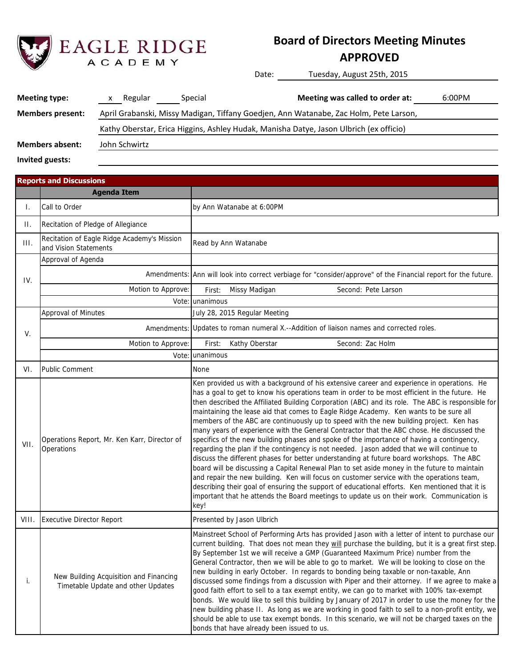

# **Board of Directors Meeting Minutes**

## **APPROVED**

Date: Tuesday, August 25th, 2015

| <b>Meeting type:</b>    | Regular       | Special | Meeting was called to order at:                                                        | 6:00PM |
|-------------------------|---------------|---------|----------------------------------------------------------------------------------------|--------|
| <b>Members present:</b> |               |         | April Grabanski, Missy Madigan, Tiffany Goedjen, Ann Watanabe, Zac Holm, Pete Larson,  |        |
|                         |               |         | Kathy Oberstar, Erica Higgins, Ashley Hudak, Manisha Datye, Jason Ulbrich (ex officio) |        |
| <b>Members absent:</b>  | John Schwirtz |         |                                                                                        |        |
| Invited guests:         |               |         |                                                                                        |        |

|       | <b>Reports and Discussions</b>                                               |                                                                                                                                                                                                                                                                                                                                                                                                                                                                                                                                                                                                                                                                                                                                                                                                                                                                                                                                                                                                                                                                                                                                                                                                                                                                            |  |  |  |  |
|-------|------------------------------------------------------------------------------|----------------------------------------------------------------------------------------------------------------------------------------------------------------------------------------------------------------------------------------------------------------------------------------------------------------------------------------------------------------------------------------------------------------------------------------------------------------------------------------------------------------------------------------------------------------------------------------------------------------------------------------------------------------------------------------------------------------------------------------------------------------------------------------------------------------------------------------------------------------------------------------------------------------------------------------------------------------------------------------------------------------------------------------------------------------------------------------------------------------------------------------------------------------------------------------------------------------------------------------------------------------------------|--|--|--|--|
|       | <b>Agenda Item</b>                                                           |                                                                                                                                                                                                                                                                                                                                                                                                                                                                                                                                                                                                                                                                                                                                                                                                                                                                                                                                                                                                                                                                                                                                                                                                                                                                            |  |  |  |  |
| T.    | Call to Order                                                                | by Ann Watanabe at 6:00PM                                                                                                                                                                                                                                                                                                                                                                                                                                                                                                                                                                                                                                                                                                                                                                                                                                                                                                                                                                                                                                                                                                                                                                                                                                                  |  |  |  |  |
| П.    | Recitation of Pledge of Allegiance                                           |                                                                                                                                                                                                                                                                                                                                                                                                                                                                                                                                                                                                                                                                                                                                                                                                                                                                                                                                                                                                                                                                                                                                                                                                                                                                            |  |  |  |  |
| III.  | Recitation of Eagle Ridge Academy's Mission<br>and Vision Statements         | Read by Ann Watanabe                                                                                                                                                                                                                                                                                                                                                                                                                                                                                                                                                                                                                                                                                                                                                                                                                                                                                                                                                                                                                                                                                                                                                                                                                                                       |  |  |  |  |
|       | Approval of Agenda                                                           |                                                                                                                                                                                                                                                                                                                                                                                                                                                                                                                                                                                                                                                                                                                                                                                                                                                                                                                                                                                                                                                                                                                                                                                                                                                                            |  |  |  |  |
| IV.   |                                                                              | Amendments: Ann will look into correct verbiage for "consider/approve" of the Financial report for the future.                                                                                                                                                                                                                                                                                                                                                                                                                                                                                                                                                                                                                                                                                                                                                                                                                                                                                                                                                                                                                                                                                                                                                             |  |  |  |  |
|       | Motion to Approve:                                                           | Second: Pete Larson<br>Missy Madigan<br>First:                                                                                                                                                                                                                                                                                                                                                                                                                                                                                                                                                                                                                                                                                                                                                                                                                                                                                                                                                                                                                                                                                                                                                                                                                             |  |  |  |  |
|       |                                                                              | Vote: unanimous                                                                                                                                                                                                                                                                                                                                                                                                                                                                                                                                                                                                                                                                                                                                                                                                                                                                                                                                                                                                                                                                                                                                                                                                                                                            |  |  |  |  |
|       | Approval of Minutes                                                          | July 28, 2015 Regular Meeting                                                                                                                                                                                                                                                                                                                                                                                                                                                                                                                                                                                                                                                                                                                                                                                                                                                                                                                                                                                                                                                                                                                                                                                                                                              |  |  |  |  |
| V.    |                                                                              | Amendments: Updates to roman numeral X.--Addition of liaison names and corrected roles.                                                                                                                                                                                                                                                                                                                                                                                                                                                                                                                                                                                                                                                                                                                                                                                                                                                                                                                                                                                                                                                                                                                                                                                    |  |  |  |  |
|       | Motion to Approve:                                                           | Kathy Oberstar<br>Second: Zac Holm<br>First:                                                                                                                                                                                                                                                                                                                                                                                                                                                                                                                                                                                                                                                                                                                                                                                                                                                                                                                                                                                                                                                                                                                                                                                                                               |  |  |  |  |
|       |                                                                              | Vote: unanimous                                                                                                                                                                                                                                                                                                                                                                                                                                                                                                                                                                                                                                                                                                                                                                                                                                                                                                                                                                                                                                                                                                                                                                                                                                                            |  |  |  |  |
| VI.   | Public Comment                                                               | None                                                                                                                                                                                                                                                                                                                                                                                                                                                                                                                                                                                                                                                                                                                                                                                                                                                                                                                                                                                                                                                                                                                                                                                                                                                                       |  |  |  |  |
| VII.  | Operations Report, Mr. Ken Karr, Director of<br>Operations                   | Ken provided us with a background of his extensive career and experience in operations. He<br>has a goal to get to know his operations team in order to be most efficient in the future. He<br>then described the Affiliated Building Corporation (ABC) and its role. The ABC is responsible for<br>maintaining the lease aid that comes to Eagle Ridge Academy. Ken wants to be sure all<br>members of the ABC are continuously up to speed with the new building project. Ken has<br>many years of experience with the General Contractor that the ABC chose. He discussed the<br>specifics of the new building phases and spoke of the importance of having a contingency,<br>regarding the plan if the contingency is not needed. Jason added that we will continue to<br>discuss the different phases for better understanding at future board workshops. The ABC<br>board will be discussing a Capital Renewal Plan to set aside money in the future to maintain<br>and repair the new building. Ken will focus on customer service with the operations team,<br>describing their goal of ensuring the support of educational efforts. Ken mentioned that it is<br>important that he attends the Board meetings to update us on their work. Communication is<br>key! |  |  |  |  |
| VIII. | <b>Executive Director Report</b>                                             | Presented by Jason Ulbrich                                                                                                                                                                                                                                                                                                                                                                                                                                                                                                                                                                                                                                                                                                                                                                                                                                                                                                                                                                                                                                                                                                                                                                                                                                                 |  |  |  |  |
| i.    | New Building Acquisition and Financing<br>Timetable Update and other Updates | Mainstreet School of Performing Arts has provided Jason with a letter of intent to purchase our<br>current building. That does not mean they will purchase the building, but it is a great first step.<br>By September 1st we will receive a GMP (Guaranteed Maximum Price) number from the<br>General Contractor, then we will be able to go to market. We will be looking to close on the<br>new building in early October. In regards to bonding being taxable or non-taxable, Ann<br>discussed some findings from a discussion with Piper and their attorney. If we agree to make a<br>good faith effort to sell to a tax exempt entity, we can go to market with 100% tax-exempt<br>bonds. We would like to sell this building by January of 2017 in order to use the money for the<br>new building phase II. As long as we are working in good faith to sell to a non-profit entity, we<br>should be able to use tax exempt bonds. In this scenario, we will not be charged taxes on the                                                                                                                                                                                                                                                                             |  |  |  |  |

bonds that have already been issued to us.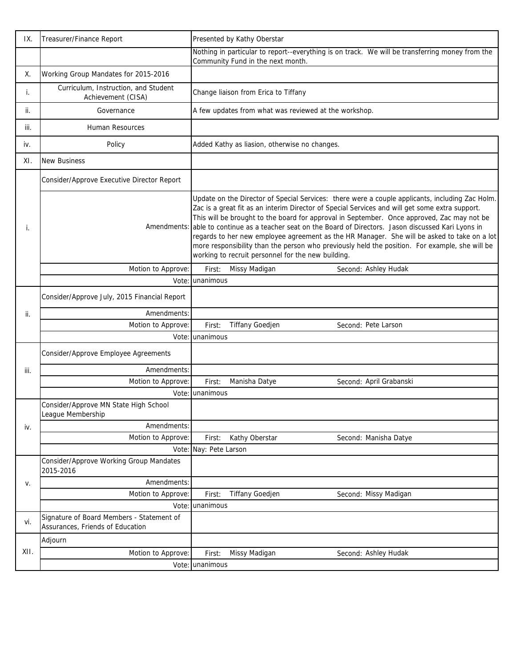| IX.  | Treasurer/Finance Report                                   | Presented by Kathy Oberstar                                                                                                                                                                                                                                                                                                                                                                                                                                                                                                                                                                                                                                       |                                                                                                 |  |  |
|------|------------------------------------------------------------|-------------------------------------------------------------------------------------------------------------------------------------------------------------------------------------------------------------------------------------------------------------------------------------------------------------------------------------------------------------------------------------------------------------------------------------------------------------------------------------------------------------------------------------------------------------------------------------------------------------------------------------------------------------------|-------------------------------------------------------------------------------------------------|--|--|
|      |                                                            | Community Fund in the next month.                                                                                                                                                                                                                                                                                                                                                                                                                                                                                                                                                                                                                                 | Nothing in particular to report--everything is on track. We will be transferring money from the |  |  |
| Х.   | Working Group Mandates for 2015-2016                       |                                                                                                                                                                                                                                                                                                                                                                                                                                                                                                                                                                                                                                                                   |                                                                                                 |  |  |
| i.   | Curriculum, Instruction, and Student<br>Achievement (CISA) | Change liaison from Erica to Tiffany                                                                                                                                                                                                                                                                                                                                                                                                                                                                                                                                                                                                                              |                                                                                                 |  |  |
| ii.  | Governance                                                 | A few updates from what was reviewed at the workshop.                                                                                                                                                                                                                                                                                                                                                                                                                                                                                                                                                                                                             |                                                                                                 |  |  |
| iii. | Human Resources                                            |                                                                                                                                                                                                                                                                                                                                                                                                                                                                                                                                                                                                                                                                   |                                                                                                 |  |  |
| iv.  | Policy                                                     | Added Kathy as liasion, otherwise no changes.                                                                                                                                                                                                                                                                                                                                                                                                                                                                                                                                                                                                                     |                                                                                                 |  |  |
| XI.  | <b>New Business</b>                                        |                                                                                                                                                                                                                                                                                                                                                                                                                                                                                                                                                                                                                                                                   |                                                                                                 |  |  |
|      | Consider/Approve Executive Director Report                 |                                                                                                                                                                                                                                                                                                                                                                                                                                                                                                                                                                                                                                                                   |                                                                                                 |  |  |
| i.   |                                                            | Update on the Director of Special Services: there were a couple applicants, including Zac Holm.<br>Zac is a great fit as an interim Director of Special Services and will get some extra support.<br>This will be brought to the board for approval in September. Once approved, Zac may not be<br>Amendments: able to continue as a teacher seat on the Board of Directors. Jason discussed Kari Lyons in<br>regards to her new employee agreement as the HR Manager. She will be asked to take on a lot<br>more responsibility than the person who previously held the position. For example, she will be<br>working to recruit personnel for the new building. |                                                                                                 |  |  |
|      | Motion to Approve:                                         | Missy Madigan<br>First:                                                                                                                                                                                                                                                                                                                                                                                                                                                                                                                                                                                                                                           | Second: Ashley Hudak                                                                            |  |  |
|      |                                                            | Vote: unanimous                                                                                                                                                                                                                                                                                                                                                                                                                                                                                                                                                                                                                                                   |                                                                                                 |  |  |
|      | Consider/Approve July, 2015 Financial Report               |                                                                                                                                                                                                                                                                                                                                                                                                                                                                                                                                                                                                                                                                   |                                                                                                 |  |  |
| ji.  | Amendments:                                                |                                                                                                                                                                                                                                                                                                                                                                                                                                                                                                                                                                                                                                                                   |                                                                                                 |  |  |
|      | Motion to Approve:                                         | First:<br>Tiffany Goedjen                                                                                                                                                                                                                                                                                                                                                                                                                                                                                                                                                                                                                                         | Second: Pete Larson                                                                             |  |  |
|      |                                                            | Vote: unanimous                                                                                                                                                                                                                                                                                                                                                                                                                                                                                                                                                                                                                                                   |                                                                                                 |  |  |
|      | Consider/Approve Employee Agreements                       |                                                                                                                                                                                                                                                                                                                                                                                                                                                                                                                                                                                                                                                                   |                                                                                                 |  |  |
| iii. | Amendments:                                                |                                                                                                                                                                                                                                                                                                                                                                                                                                                                                                                                                                                                                                                                   |                                                                                                 |  |  |
|      | Motion to Approve:                                         | First:<br>Manisha Datye                                                                                                                                                                                                                                                                                                                                                                                                                                                                                                                                                                                                                                           | Second: April Grabanski                                                                         |  |  |
|      | Vote:                                                      | unanimous                                                                                                                                                                                                                                                                                                                                                                                                                                                                                                                                                                                                                                                         |                                                                                                 |  |  |
|      | Consider/Approve MN State High School<br>League Membership |                                                                                                                                                                                                                                                                                                                                                                                                                                                                                                                                                                                                                                                                   |                                                                                                 |  |  |
| iv.  | Amendments:                                                |                                                                                                                                                                                                                                                                                                                                                                                                                                                                                                                                                                                                                                                                   |                                                                                                 |  |  |
|      | Motion to Approve:                                         | Kathy Oberstar<br>First:                                                                                                                                                                                                                                                                                                                                                                                                                                                                                                                                                                                                                                          | Second: Manisha Datye                                                                           |  |  |
|      |                                                            | Vote: Nay: Pete Larson                                                                                                                                                                                                                                                                                                                                                                                                                                                                                                                                                                                                                                            |                                                                                                 |  |  |
|      | Consider/Approve Working Group Mandates<br>2015-2016       |                                                                                                                                                                                                                                                                                                                                                                                                                                                                                                                                                                                                                                                                   |                                                                                                 |  |  |
| V.   | Amendments:                                                |                                                                                                                                                                                                                                                                                                                                                                                                                                                                                                                                                                                                                                                                   |                                                                                                 |  |  |
|      | Motion to Approve:                                         | Tiffany Goedjen<br>First:                                                                                                                                                                                                                                                                                                                                                                                                                                                                                                                                                                                                                                         | Second: Missy Madigan                                                                           |  |  |
| vi.  | Vote:<br>Signature of Board Members - Statement of         | unanimous                                                                                                                                                                                                                                                                                                                                                                                                                                                                                                                                                                                                                                                         |                                                                                                 |  |  |
|      | Assurances, Friends of Education                           |                                                                                                                                                                                                                                                                                                                                                                                                                                                                                                                                                                                                                                                                   |                                                                                                 |  |  |
|      | Adjourn                                                    |                                                                                                                                                                                                                                                                                                                                                                                                                                                                                                                                                                                                                                                                   |                                                                                                 |  |  |
| XII. | Motion to Approve:                                         | Missy Madigan<br>First:                                                                                                                                                                                                                                                                                                                                                                                                                                                                                                                                                                                                                                           | Second: Ashley Hudak                                                                            |  |  |
|      |                                                            | Vote: unanimous                                                                                                                                                                                                                                                                                                                                                                                                                                                                                                                                                                                                                                                   |                                                                                                 |  |  |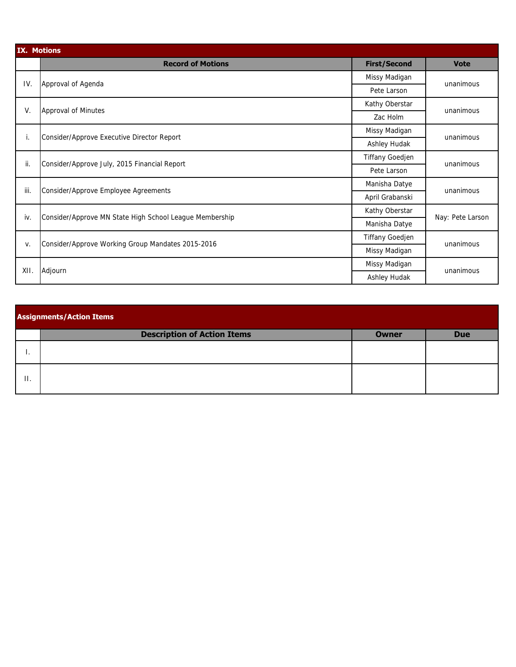|      | <b>IX. Motions</b>                                      |                     |                  |  |  |  |  |
|------|---------------------------------------------------------|---------------------|------------------|--|--|--|--|
|      | <b>Record of Motions</b>                                | <b>First/Second</b> | <b>Vote</b>      |  |  |  |  |
| IV.  | Approval of Agenda                                      | Missy Madigan       | unanimous        |  |  |  |  |
|      |                                                         | Pete Larson         |                  |  |  |  |  |
| V.   | Approval of Minutes                                     | Kathy Oberstar      | unanimous        |  |  |  |  |
|      |                                                         | Zac Holm            |                  |  |  |  |  |
| i.   | Consider/Approve Executive Director Report              | Missy Madigan       | unanimous        |  |  |  |  |
|      |                                                         | Ashley Hudak        |                  |  |  |  |  |
| ii.  | Consider/Approve July, 2015 Financial Report            | Tiffany Goedjen     | unanimous        |  |  |  |  |
|      |                                                         | Pete Larson         |                  |  |  |  |  |
| iii. | Consider/Approve Employee Agreements                    | Manisha Datye       | unanimous        |  |  |  |  |
|      |                                                         | April Grabanski     |                  |  |  |  |  |
| iv.  | Consider/Approve MN State High School League Membership | Kathy Oberstar      | Nay: Pete Larson |  |  |  |  |
|      |                                                         | Manisha Datye       |                  |  |  |  |  |
| V.   | Consider/Approve Working Group Mandates 2015-2016       | Tiffany Goedjen     | unanimous        |  |  |  |  |
|      |                                                         | Missy Madigan       |                  |  |  |  |  |
| XII. | Adjourn                                                 | Missy Madigan       | unanimous        |  |  |  |  |
|      |                                                         | Ashley Hudak        |                  |  |  |  |  |

|    | <b>Assignments/Action Items</b>    |              |            |  |  |  |  |  |
|----|------------------------------------|--------------|------------|--|--|--|--|--|
|    | <b>Description of Action Items</b> | <b>Owner</b> | <b>Due</b> |  |  |  |  |  |
|    |                                    |              |            |  |  |  |  |  |
| Н. |                                    |              |            |  |  |  |  |  |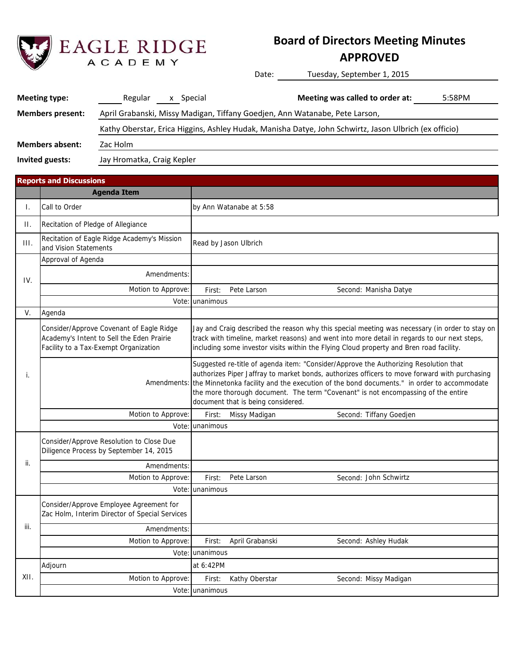

# **Board of Directors Meeting Minutes**

## **APPROVED**

Date: Tuesday, September 1, 2015

| <b>Meeting type:</b>    | Regular<br>x Special                                                        | Meeting was called to order at:<br>5:58PM                                                             |  |
|-------------------------|-----------------------------------------------------------------------------|-------------------------------------------------------------------------------------------------------|--|
| <b>Members present:</b> | April Grabanski, Missy Madigan, Tiffany Goedjen, Ann Watanabe, Pete Larson, |                                                                                                       |  |
|                         |                                                                             | Kathy Oberstar, Erica Higgins, Ashley Hudak, Manisha Datye, John Schwirtz, Jason Ulbrich (ex officio) |  |
| Members absent:         | Zac Holm                                                                    |                                                                                                       |  |
| Invited guests:         | Jay Hromatka, Craig Kepler                                                  |                                                                                                       |  |

|                 | <b>Reports and Discussions</b>                                                                                                 |                 |                                    |                                                                                                                                                                                                                                                                                                                                                                                     |  |
|-----------------|--------------------------------------------------------------------------------------------------------------------------------|-----------------|------------------------------------|-------------------------------------------------------------------------------------------------------------------------------------------------------------------------------------------------------------------------------------------------------------------------------------------------------------------------------------------------------------------------------------|--|
|                 | <b>Agenda Item</b>                                                                                                             |                 |                                    |                                                                                                                                                                                                                                                                                                                                                                                     |  |
| Τ.              | Call to Order                                                                                                                  |                 | by Ann Watanabe at 5:58            |                                                                                                                                                                                                                                                                                                                                                                                     |  |
| $\prod_{i=1}^n$ | Recitation of Pledge of Allegiance                                                                                             |                 |                                    |                                                                                                                                                                                                                                                                                                                                                                                     |  |
| III.            | Recitation of Eagle Ridge Academy's Mission<br>and Vision Statements                                                           |                 | Read by Jason Ulbrich              |                                                                                                                                                                                                                                                                                                                                                                                     |  |
|                 | Approval of Agenda                                                                                                             |                 |                                    |                                                                                                                                                                                                                                                                                                                                                                                     |  |
| IV.             | Amendments:                                                                                                                    |                 |                                    |                                                                                                                                                                                                                                                                                                                                                                                     |  |
|                 | Motion to Approve:                                                                                                             | First:          | Pete Larson                        | Second: Manisha Datye                                                                                                                                                                                                                                                                                                                                                               |  |
|                 | Vote:                                                                                                                          | unanimous       |                                    |                                                                                                                                                                                                                                                                                                                                                                                     |  |
| V.              | Agenda                                                                                                                         |                 |                                    |                                                                                                                                                                                                                                                                                                                                                                                     |  |
|                 | Consider/Approve Covenant of Eagle Ridge<br>Academy's Intent to Sell the Eden Prairie<br>Facility to a Tax-Exempt Organization |                 |                                    | Jay and Craig described the reason why this special meeting was necessary (in order to stay on<br>track with timeline, market reasons) and went into more detail in regards to our next steps,<br>including some investor visits within the Flying Cloud property and Bren road facility.                                                                                           |  |
| i.              |                                                                                                                                |                 | document that is being considered. | Suggested re-title of agenda item: "Consider/Approve the Authorizing Resolution that<br>authorizes Piper Jaffray to market bonds, authorizes officers to move forward with purchasing<br>Amendments: the Minnetonka facility and the execution of the bond documents." in order to accommodate<br>the more thorough document. The term "Covenant" is not encompassing of the entire |  |
|                 | Motion to Approve:                                                                                                             | First:          | Missy Madigan                      | Second: Tiffany Goedjen                                                                                                                                                                                                                                                                                                                                                             |  |
|                 |                                                                                                                                | Vote: unanimous |                                    |                                                                                                                                                                                                                                                                                                                                                                                     |  |
|                 | Consider/Approve Resolution to Close Due<br>Diligence Process by September 14, 2015                                            |                 |                                    |                                                                                                                                                                                                                                                                                                                                                                                     |  |
| ii.             | Amendments:                                                                                                                    |                 |                                    |                                                                                                                                                                                                                                                                                                                                                                                     |  |
|                 | Motion to Approve:                                                                                                             | First:          | Pete Larson                        | Second: John Schwirtz                                                                                                                                                                                                                                                                                                                                                               |  |
|                 |                                                                                                                                | Vote: unanimous |                                    |                                                                                                                                                                                                                                                                                                                                                                                     |  |
|                 | Consider/Approve Employee Agreement for<br>Zac Holm, Interim Director of Special Services                                      |                 |                                    |                                                                                                                                                                                                                                                                                                                                                                                     |  |
| iii.            | Amendments:                                                                                                                    |                 |                                    |                                                                                                                                                                                                                                                                                                                                                                                     |  |
|                 | Motion to Approve:                                                                                                             | First:          | April Grabanski                    | Second: Ashley Hudak                                                                                                                                                                                                                                                                                                                                                                |  |
|                 |                                                                                                                                | Vote: unanimous |                                    |                                                                                                                                                                                                                                                                                                                                                                                     |  |
|                 | Adjourn                                                                                                                        | at 6:42PM       |                                    |                                                                                                                                                                                                                                                                                                                                                                                     |  |
| XII.            | Motion to Approve:                                                                                                             | First:          | Kathy Oberstar                     | Second: Missy Madigan                                                                                                                                                                                                                                                                                                                                                               |  |
|                 |                                                                                                                                | Vote: unanimous |                                    |                                                                                                                                                                                                                                                                                                                                                                                     |  |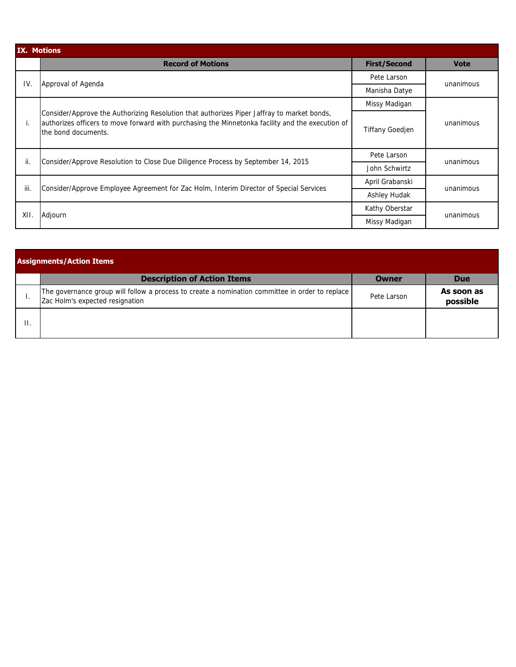|      | <b>IX. Motions</b>                                                                                                                                                                                                    |                        |             |  |  |  |  |  |
|------|-----------------------------------------------------------------------------------------------------------------------------------------------------------------------------------------------------------------------|------------------------|-------------|--|--|--|--|--|
|      | <b>Record of Motions</b>                                                                                                                                                                                              | <b>First/Second</b>    | <b>Vote</b> |  |  |  |  |  |
| IV.  | Approval of Agenda                                                                                                                                                                                                    | Pete Larson            | unanimous   |  |  |  |  |  |
|      |                                                                                                                                                                                                                       | Manisha Datye          |             |  |  |  |  |  |
|      |                                                                                                                                                                                                                       | Missy Madigan          |             |  |  |  |  |  |
| Ι.   | Consider/Approve the Authorizing Resolution that authorizes Piper Jaffray to market bonds,<br>authorizes officers to move forward with purchasing the Minnetonka facility and the execution of<br>the bond documents. | <b>Tiffany Goedjen</b> | unanimous   |  |  |  |  |  |
| ii.  | Consider/Approve Resolution to Close Due Diligence Process by September 14, 2015                                                                                                                                      | Pete Larson            | unanimous   |  |  |  |  |  |
|      |                                                                                                                                                                                                                       | John Schwirtz          |             |  |  |  |  |  |
| iii. | Consider/Approve Employee Agreement for Zac Holm, Interim Director of Special Services                                                                                                                                | April Grabanski        | unanimous   |  |  |  |  |  |
|      |                                                                                                                                                                                                                       | Ashley Hudak           |             |  |  |  |  |  |
| XII. | Adjourn                                                                                                                                                                                                               | Kathy Oberstar         | unanimous   |  |  |  |  |  |
|      |                                                                                                                                                                                                                       | Missy Madigan          |             |  |  |  |  |  |

| <b>Assignments/Action Items</b>                                                                                                    |             |                        |  |  |  |  |  |
|------------------------------------------------------------------------------------------------------------------------------------|-------------|------------------------|--|--|--|--|--|
| <b>Description of Action Items</b>                                                                                                 | Owner       | <b>Due</b>             |  |  |  |  |  |
| The governance group will follow a process to create a nomination committee in order to replace<br>Zac Holm's expected resignation | Pete Larson | As soon as<br>possible |  |  |  |  |  |
|                                                                                                                                    |             |                        |  |  |  |  |  |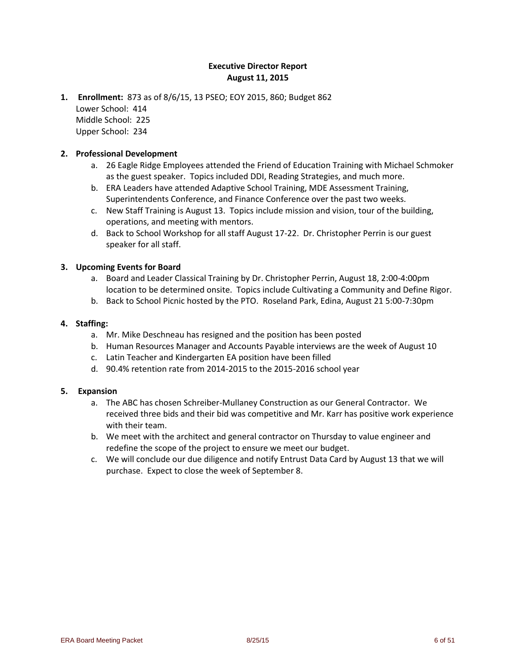### **Executive Director Report August 11, 2015**

**1. Enrollment:** 873 as of 8/6/15, 13 PSEO; EOY 2015, 860; Budget 862 Lower School: 414 Middle School: 225 Upper School: 234

#### **2. Professional Development**

- a. 26 Eagle Ridge Employees attended the Friend of Education Training with Michael Schmoker as the guest speaker. Topics included DDI, Reading Strategies, and much more.
- b. ERA Leaders have attended Adaptive School Training, MDE Assessment Training, Superintendents Conference, and Finance Conference over the past two weeks.
- c. New Staff Training is August 13. Topics include mission and vision, tour of the building, operations, and meeting with mentors.
- d. Back to School Workshop for all staff August 17-22. Dr. Christopher Perrin is our guest speaker for all staff.

#### **3. Upcoming Events for Board**

- a. Board and Leader Classical Training by Dr. Christopher Perrin, August 18, 2:00-4:00pm location to be determined onsite. Topics include Cultivating a Community and Define Rigor.
- b. Back to School Picnic hosted by the PTO. Roseland Park, Edina, August 21 5:00-7:30pm

#### **4. Staffing:**

- a. Mr. Mike Deschneau has resigned and the position has been posted
- b. Human Resources Manager and Accounts Payable interviews are the week of August 10
- c. Latin Teacher and Kindergarten EA position have been filled
- d. 90.4% retention rate from 2014-2015 to the 2015-2016 school year

#### **5. Expansion**

- a. The ABC has chosen Schreiber-Mullaney Construction as our General Contractor. We received three bids and their bid was competitive and Mr. Karr has positive work experience with their team.
- b. We meet with the architect and general contractor on Thursday to value engineer and redefine the scope of the project to ensure we meet our budget.
- c. We will conclude our due diligence and notify Entrust Data Card by August 13 that we will purchase. Expect to close the week of September 8.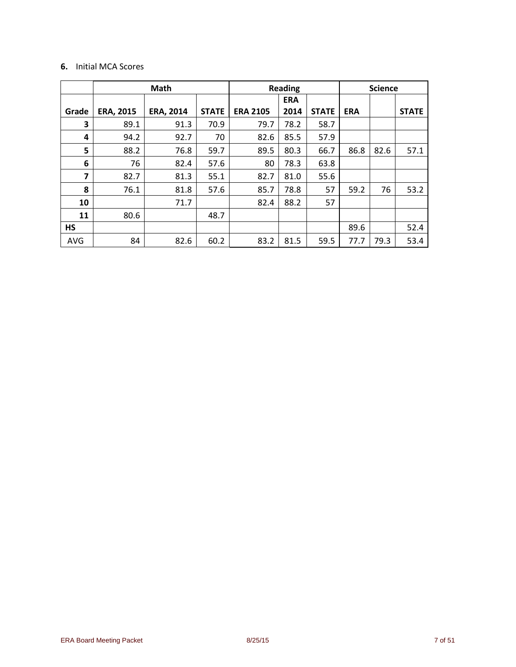### **6.** Initial MCA Scores

|            |                  | Math             | <b>Reading</b> |                 |            | <b>Science</b> |            |      |              |
|------------|------------------|------------------|----------------|-----------------|------------|----------------|------------|------|--------------|
|            |                  |                  |                |                 | <b>ERA</b> |                |            |      |              |
| Grade      | <b>ERA, 2015</b> | <b>ERA, 2014</b> | <b>STATE</b>   | <b>ERA 2105</b> | 2014       | <b>STATE</b>   | <b>ERA</b> |      | <b>STATE</b> |
| 3          | 89.1             | 91.3             | 70.9           | 79.7            | 78.2       | 58.7           |            |      |              |
| 4          | 94.2             | 92.7             | 70             | 82.6            | 85.5       | 57.9           |            |      |              |
| 5          | 88.2             | 76.8             | 59.7           | 89.5            | 80.3       | 66.7<br>86.8   |            | 82.6 | 57.1         |
| 6          | 76               | 82.4             | 57.6           | 80              | 78.3       | 63.8           |            |      |              |
| 7          | 82.7             | 81.3             | 55.1           | 82.7            | 81.0       | 55.6           |            |      |              |
| 8          | 76.1             | 81.8             | 57.6           | 85.7            | 78.8       | 57             | 59.2       | 76   |              |
| 10         |                  | 71.7             |                | 82.4            | 57<br>88.2 |                |            |      |              |
| 11         | 80.6             |                  | 48.7           |                 |            |                |            |      |              |
| <b>HS</b>  |                  |                  |                |                 |            |                | 89.6       |      | 52.4         |
| <b>AVG</b> | 84               | 82.6             | 60.2           | 83.2            | 81.5       | 59.5           | 77.7       | 79.3 | 53.4         |